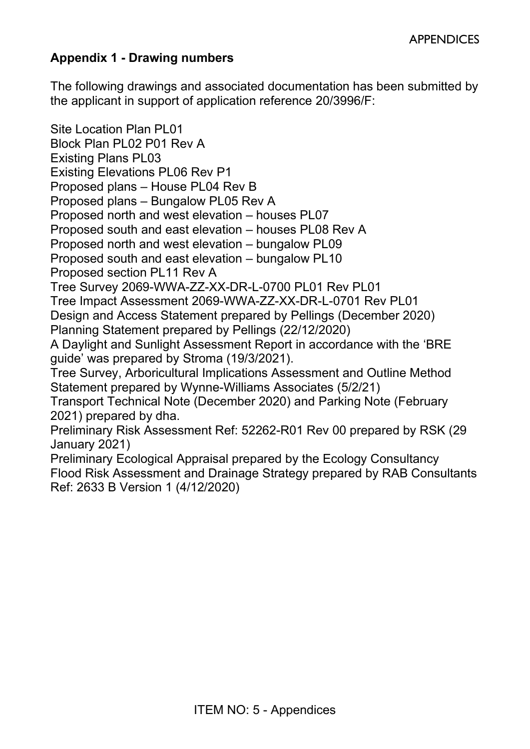## **Appendix 1 - Drawing numbers**

The following drawings and associated documentation has been submitted by the applicant in support of application reference 20/3996/F:

Site Location Plan PL01 Block Plan PL02 P01 Rev A Existing Plans PL03 Existing Elevations PL06 Rev P1 Proposed plans – House PL04 Rev B Proposed plans – Bungalow PL05 Rev A Proposed north and west elevation – houses PL07 Proposed south and east elevation – houses PL08 Rev A Proposed north and west elevation – bungalow PL09 Proposed south and east elevation – bungalow PL10 Proposed section PL11 Rev A Tree Survey 2069-WWA-ZZ-XX-DR-L-0700 PL01 Rev PL01 Tree Impact Assessment 2069-WWA-ZZ-XX-DR-L-0701 Rev PL01 Design and Access Statement prepared by Pellings (December 2020) Planning Statement prepared by Pellings (22/12/2020) A Daylight and Sunlight Assessment Report in accordance with the 'BRE guide' was prepared by Stroma (19/3/2021). Tree Survey, Arboricultural Implications Assessment and Outline Method Statement prepared by Wynne-Williams Associates (5/2/21) Transport Technical Note (December 2020) and Parking Note (February 2021) prepared by dha. Preliminary Risk Assessment Ref: 52262-R01 Rev 00 prepared by RSK (29 January 2021) Preliminary Ecological Appraisal prepared by the Ecology Consultancy

Flood Risk Assessment and Drainage Strategy prepared by RAB Consultants Ref: 2633 B Version 1 (4/12/2020)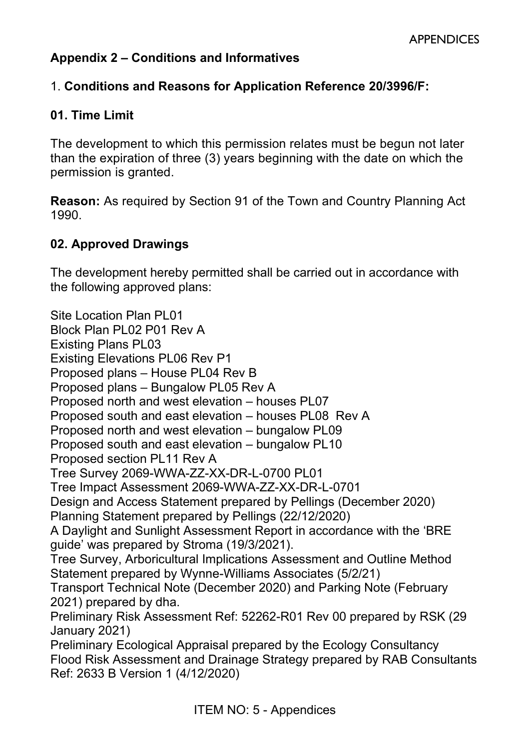## **Appendix 2 – Conditions and Informatives**

#### 1. **Conditions and Reasons for Application Reference 20/3996/F:**

#### **01. Time Limit**

The development to which this permission relates must be begun not later than the expiration of three (3) years beginning with the date on which the permission is granted.

**Reason:** As required by Section 91 of the Town and Country Planning Act 1990.

#### **02. Approved Drawings**

The development hereby permitted shall be carried out in accordance with the following approved plans:

Site Location Plan PL01 Block Plan PL02 P01 Rev A Existing Plans PL03 Existing Elevations PL06 Rev P1 Proposed plans – House PL04 Rev B Proposed plans – Bungalow PL05 Rev A Proposed north and west elevation – houses PL07 Proposed south and east elevation – houses PL08 Rev A Proposed north and west elevation – bungalow PL09 Proposed south and east elevation – bungalow PL10 Proposed section PL11 Rev A Tree Survey 2069-WWA-ZZ-XX-DR-L-0700 PL01 Tree Impact Assessment 2069-WWA-ZZ-XX-DR-L-0701 Design and Access Statement prepared by Pellings (December 2020) Planning Statement prepared by Pellings (22/12/2020) A Daylight and Sunlight Assessment Report in accordance with the 'BRE guide' was prepared by Stroma (19/3/2021). Tree Survey, Arboricultural Implications Assessment and Outline Method Statement prepared by Wynne-Williams Associates (5/2/21) Transport Technical Note (December 2020) and Parking Note (February 2021) prepared by dha. Preliminary Risk Assessment Ref: 52262-R01 Rev 00 prepared by RSK (29 January 2021) Preliminary Ecological Appraisal prepared by the Ecology Consultancy Flood Risk Assessment and Drainage Strategy prepared by RAB Consultants Ref: 2633 B Version 1 (4/12/2020)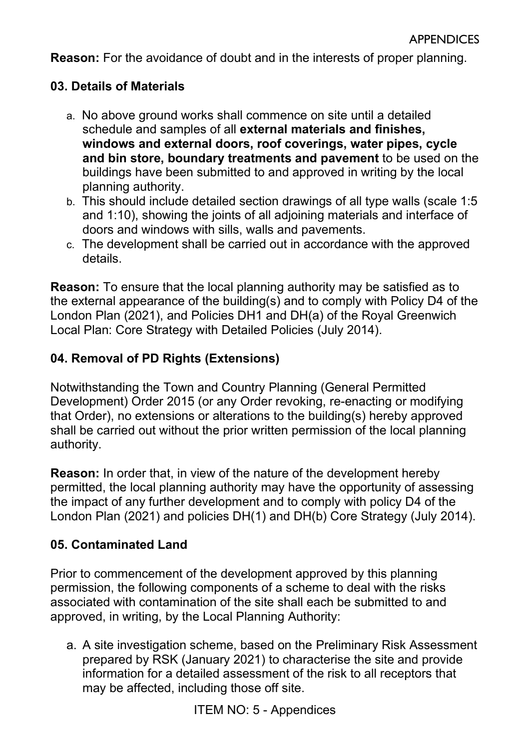**Reason:** For the avoidance of doubt and in the interests of proper planning.

## **03. Details of Materials**

- a. No above ground works shall commence on site until a detailed schedule and samples of all **external materials and finishes, windows and external doors, roof coverings, water pipes, cycle and bin store, boundary treatments and pavement** to be used on the buildings have been submitted to and approved in writing by the local planning authority.
- b. This should include detailed section drawings of all type walls (scale 1:5 and 1:10), showing the joints of all adjoining materials and interface of doors and windows with sills, walls and pavements.
- c. The development shall be carried out in accordance with the approved details.

**Reason:** To ensure that the local planning authority may be satisfied as to the external appearance of the building(s) and to comply with Policy D4 of the London Plan (2021), and Policies DH1 and DH(a) of the Royal Greenwich Local Plan: Core Strategy with Detailed Policies (July 2014).

# **04. Removal of PD Rights (Extensions)**

Notwithstanding the Town and Country Planning (General Permitted Development) Order 2015 (or any Order revoking, re-enacting or modifying that Order), no extensions or alterations to the building(s) hereby approved shall be carried out without the prior written permission of the local planning authority.

**Reason:** In order that, in view of the nature of the development hereby permitted, the local planning authority may have the opportunity of assessing the impact of any further development and to comply with policy D4 of the London Plan (2021) and policies DH(1) and DH(b) Core Strategy (July 2014).

# **05. Contaminated Land**

Prior to commencement of the development approved by this planning permission, the following components of a scheme to deal with the risks associated with contamination of the site shall each be submitted to and approved, in writing, by the Local Planning Authority:

a. A site investigation scheme, based on the Preliminary Risk Assessment prepared by RSK (January 2021) to characterise the site and provide information for a detailed assessment of the risk to all receptors that may be affected, including those off site.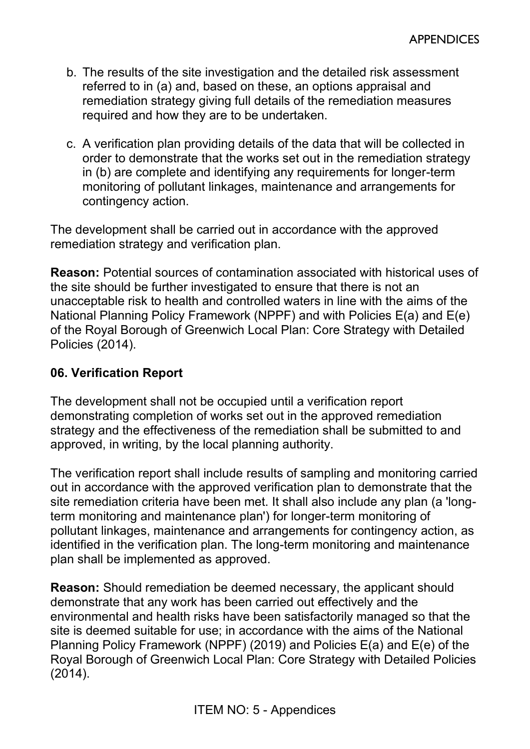- b. The results of the site investigation and the detailed risk assessment referred to in (a) and, based on these, an options appraisal and remediation strategy giving full details of the remediation measures required and how they are to be undertaken.
- c. A verification plan providing details of the data that will be collected in order to demonstrate that the works set out in the remediation strategy in (b) are complete and identifying any requirements for longer-term monitoring of pollutant linkages, maintenance and arrangements for contingency action.

The development shall be carried out in accordance with the approved remediation strategy and verification plan.

**Reason:** Potential sources of contamination associated with historical uses of the site should be further investigated to ensure that there is not an unacceptable risk to health and controlled waters in line with the aims of the National Planning Policy Framework (NPPF) and with Policies E(a) and E(e) of the Royal Borough of Greenwich Local Plan: Core Strategy with Detailed Policies (2014).

#### **06. Verification Report**

The development shall not be occupied until a verification report demonstrating completion of works set out in the approved remediation strategy and the effectiveness of the remediation shall be submitted to and approved, in writing, by the local planning authority.

The verification report shall include results of sampling and monitoring carried out in accordance with the approved verification plan to demonstrate that the site remediation criteria have been met. It shall also include any plan (a 'longterm monitoring and maintenance plan') for longer-term monitoring of pollutant linkages, maintenance and arrangements for contingency action, as identified in the verification plan. The long-term monitoring and maintenance plan shall be implemented as approved.

**Reason:** Should remediation be deemed necessary, the applicant should demonstrate that any work has been carried out effectively and the environmental and health risks have been satisfactorily managed so that the site is deemed suitable for use; in accordance with the aims of the National Planning Policy Framework (NPPF) (2019) and Policies E(a) and E(e) of the Royal Borough of Greenwich Local Plan: Core Strategy with Detailed Policies (2014).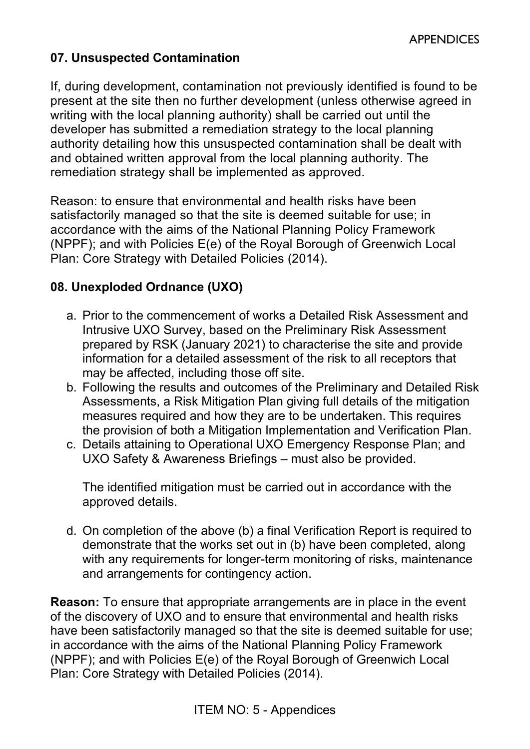#### **07. Unsuspected Contamination**

If, during development, contamination not previously identified is found to be present at the site then no further development (unless otherwise agreed in writing with the local planning authority) shall be carried out until the developer has submitted a remediation strategy to the local planning authority detailing how this unsuspected contamination shall be dealt with and obtained written approval from the local planning authority. The remediation strategy shall be implemented as approved.

Reason: to ensure that environmental and health risks have been satisfactorily managed so that the site is deemed suitable for use; in accordance with the aims of the National Planning Policy Framework (NPPF); and with Policies E(e) of the Royal Borough of Greenwich Local Plan: Core Strategy with Detailed Policies (2014).

### **08. Unexploded Ordnance (UXO)**

- a. Prior to the commencement of works a Detailed Risk Assessment and Intrusive UXO Survey, based on the Preliminary Risk Assessment prepared by RSK (January 2021) to characterise the site and provide information for a detailed assessment of the risk to all receptors that may be affected, including those off site.
- b. Following the results and outcomes of the Preliminary and Detailed Risk Assessments, a Risk Mitigation Plan giving full details of the mitigation measures required and how they are to be undertaken. This requires the provision of both a Mitigation Implementation and Verification Plan.
- c. Details attaining to Operational UXO Emergency Response Plan; and UXO Safety & Awareness Briefings – must also be provided.

The identified mitigation must be carried out in accordance with the approved details.

d. On completion of the above (b) a final Verification Report is required to demonstrate that the works set out in (b) have been completed, along with any requirements for longer-term monitoring of risks, maintenance and arrangements for contingency action.

**Reason:** To ensure that appropriate arrangements are in place in the event of the discovery of UXO and to ensure that environmental and health risks have been satisfactorily managed so that the site is deemed suitable for use; in accordance with the aims of the National Planning Policy Framework (NPPF); and with Policies E(e) of the Royal Borough of Greenwich Local Plan: Core Strategy with Detailed Policies (2014).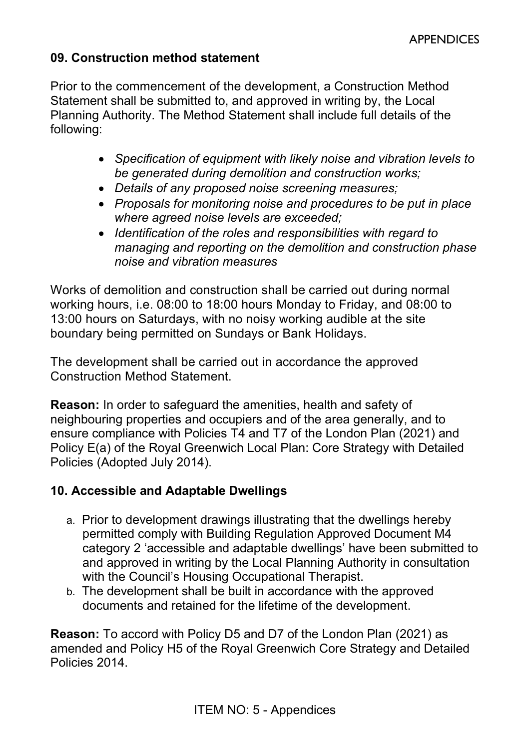#### **09. Construction method statement**

Prior to the commencement of the development, a Construction Method Statement shall be submitted to, and approved in writing by, the Local Planning Authority. The Method Statement shall include full details of the following:

- *Specification of equipment with likely noise and vibration levels to be generated during demolition and construction works;*
- *Details of any proposed noise screening measures;*
- *Proposals for monitoring noise and procedures to be put in place where agreed noise levels are exceeded;*
- *Identification of the roles and responsibilities with regard to managing and reporting on the demolition and construction phase noise and vibration measures*

Works of demolition and construction shall be carried out during normal working hours, i.e. 08:00 to 18:00 hours Monday to Friday, and 08:00 to 13:00 hours on Saturdays, with no noisy working audible at the site boundary being permitted on Sundays or Bank Holidays.

The development shall be carried out in accordance the approved Construction Method Statement.

**Reason:** In order to safeguard the amenities, health and safety of neighbouring properties and occupiers and of the area generally, and to ensure compliance with Policies T4 and T7 of the London Plan (2021) and Policy E(a) of the Royal Greenwich Local Plan: Core Strategy with Detailed Policies (Adopted July 2014).

### **10. Accessible and Adaptable Dwellings**

- a. Prior to development drawings illustrating that the dwellings hereby permitted comply with Building Regulation Approved Document M4 category 2 'accessible and adaptable dwellings' have been submitted to and approved in writing by the Local Planning Authority in consultation with the Council's Housing Occupational Therapist.
- b. The development shall be built in accordance with the approved documents and retained for the lifetime of the development.

**Reason:** To accord with Policy D5 and D7 of the London Plan (2021) as amended and Policy H5 of the Royal Greenwich Core Strategy and Detailed Policies 2014.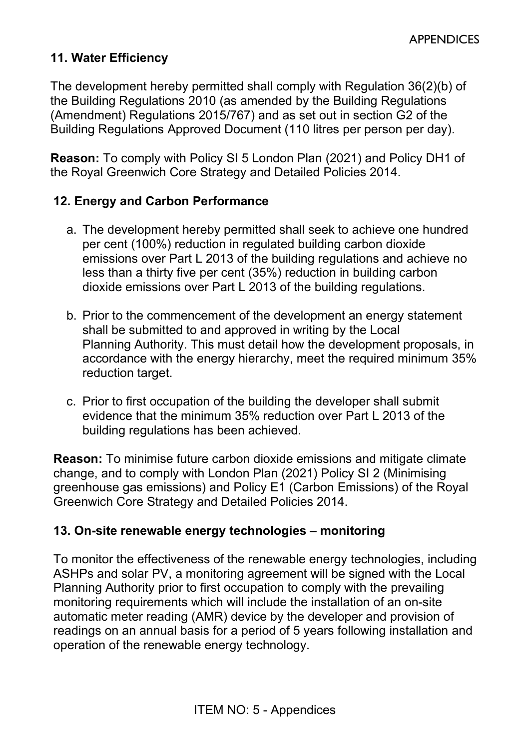## **11. Water Efficiency**

The development hereby permitted shall comply with Regulation 36(2)(b) of the Building Regulations 2010 (as amended by the Building Regulations (Amendment) Regulations 2015/767) and as set out in section G2 of the Building Regulations Approved Document (110 litres per person per day).

**Reason:** To comply with Policy SI 5 London Plan (2021) and Policy DH1 of the Royal Greenwich Core Strategy and Detailed Policies 2014.

### **12. Energy and Carbon Performance**

- a. The development hereby permitted shall seek to achieve one hundred per cent (100%) reduction in regulated building carbon dioxide emissions over Part L 2013 of the building regulations and achieve no less than a thirty five per cent (35%) reduction in building carbon dioxide emissions over Part L 2013 of the building regulations.
- b. Prior to the commencement of the development an energy statement shall be submitted to and approved in writing by the Local Planning Authority. This must detail how the development proposals, in accordance with the energy hierarchy, meet the required minimum 35% reduction target.
- c. Prior to first occupation of the building the developer shall submit evidence that the minimum 35% reduction over Part L 2013 of the building regulations has been achieved.

**Reason:** To minimise future carbon dioxide emissions and mitigate climate change, and to comply with London Plan (2021) Policy SI 2 (Minimising greenhouse gas emissions) and Policy E1 (Carbon Emissions) of the Royal Greenwich Core Strategy and Detailed Policies 2014.

### **13. On-site renewable energy technologies – monitoring**

To monitor the effectiveness of the renewable energy technologies, including ASHPs and solar PV, a monitoring agreement will be signed with the Local Planning Authority prior to first occupation to comply with the prevailing monitoring requirements which will include the installation of an on-site automatic meter reading (AMR) device by the developer and provision of readings on an annual basis for a period of 5 years following installation and operation of the renewable energy technology.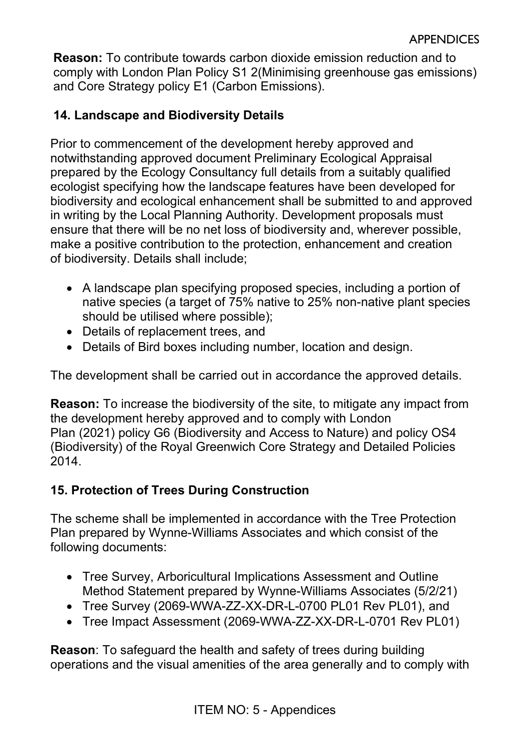**Reason:** To contribute towards carbon dioxide emission reduction and to comply with London Plan Policy S1 2(Minimising greenhouse gas emissions) and Core Strategy policy E1 (Carbon Emissions).

### **14. Landscape and Biodiversity Details**

Prior to commencement of the development hereby approved and notwithstanding approved document Preliminary Ecological Appraisal prepared by the Ecology Consultancy full details from a suitably qualified ecologist specifying how the landscape features have been developed for biodiversity and ecological enhancement shall be submitted to and approved in writing by the Local Planning Authority. Development proposals must ensure that there will be no net loss of biodiversity and, wherever possible, make a positive contribution to the protection, enhancement and creation of biodiversity. Details shall include;

- A landscape plan specifying proposed species, including a portion of native species (a target of 75% native to 25% non-native plant species should be utilised where possible);
- Details of replacement trees, and
- Details of Bird boxes including number, location and design.

The development shall be carried out in accordance the approved details.

**Reason:** To increase the biodiversity of the site, to mitigate any impact from the development hereby approved and to comply with London Plan (2021) policy G6 (Biodiversity and Access to Nature) and policy OS4 (Biodiversity) of the Royal Greenwich Core Strategy and Detailed Policies 2014.

### **15. Protection of Trees During Construction**

The scheme shall be implemented in accordance with the Tree Protection Plan prepared by Wynne-Williams Associates and which consist of the following documents:

- Tree Survey, Arboricultural Implications Assessment and Outline Method Statement prepared by Wynne-Williams Associates (5/2/21)
- Tree Survey (2069-WWA-ZZ-XX-DR-L-0700 PL01 Rev PL01), and
- Tree Impact Assessment (2069-WWA-ZZ-XX-DR-L-0701 Rev PL01)

**Reason**: To safeguard the health and safety of trees during building operations and the visual amenities of the area generally and to comply with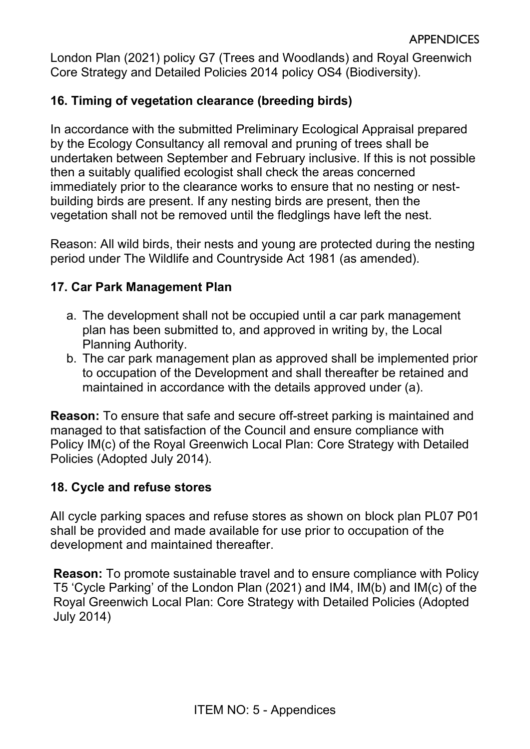London Plan (2021) policy G7 (Trees and Woodlands) and Royal Greenwich Core Strategy and Detailed Policies 2014 policy OS4 (Biodiversity).

## **16. Timing of vegetation clearance (breeding birds)**

In accordance with the submitted Preliminary Ecological Appraisal prepared by the Ecology Consultancy all removal and pruning of trees shall be undertaken between September and February inclusive. If this is not possible then a suitably qualified ecologist shall check the areas concerned immediately prior to the clearance works to ensure that no nesting or nestbuilding birds are present. If any nesting birds are present, then the vegetation shall not be removed until the fledglings have left the nest.

Reason: All wild birds, their nests and young are protected during the nesting period under The Wildlife and Countryside Act 1981 (as amended).

#### **17. Car Park Management Plan**

- a. The development shall not be occupied until a car park management plan has been submitted to, and approved in writing by, the Local Planning Authority.
- b. The car park management plan as approved shall be implemented prior to occupation of the Development and shall thereafter be retained and maintained in accordance with the details approved under (a).

**Reason:** To ensure that safe and secure off-street parking is maintained and managed to that satisfaction of the Council and ensure compliance with Policy IM(c) of the Royal Greenwich Local Plan: Core Strategy with Detailed Policies (Adopted July 2014).

### **18. Cycle and refuse stores**

All cycle parking spaces and refuse stores as shown on block plan PL07 P01 shall be provided and made available for use prior to occupation of the development and maintained thereafter.

**Reason:** To promote sustainable travel and to ensure compliance with Policy T5 'Cycle Parking' of the London Plan (2021) and IM4, IM(b) and IM(c) of the Royal Greenwich Local Plan: Core Strategy with Detailed Policies (Adopted July 2014)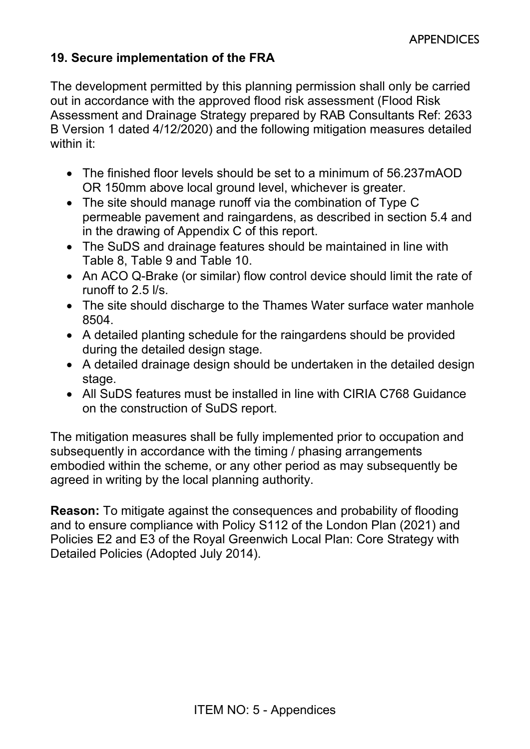## **19. Secure implementation of the FRA**

The development permitted by this planning permission shall only be carried out in accordance with the approved flood risk assessment (Flood Risk Assessment and Drainage Strategy prepared by RAB Consultants Ref: 2633 B Version 1 dated 4/12/2020) and the following mitigation measures detailed within it:

- The finished floor levels should be set to a minimum of 56.237mAOD OR 150mm above local ground level, whichever is greater.
- The site should manage runoff via the combination of Type C permeable pavement and raingardens, as described in section 5.4 and in the drawing of Appendix C of this report.
- The SuDS and drainage features should be maintained in line with Table 8, Table 9 and Table 10.
- An ACO Q-Brake (or similar) flow control device should limit the rate of runoff to 2.5 l/s.
- The site should discharge to the Thames Water surface water manhole 8504.
- A detailed planting schedule for the raingardens should be provided during the detailed design stage.
- A detailed drainage design should be undertaken in the detailed design stage.
- All SuDS features must be installed in line with CIRIA C768 Guidance on the construction of SuDS report.

The mitigation measures shall be fully implemented prior to occupation and subsequently in accordance with the timing / phasing arrangements embodied within the scheme, or any other period as may subsequently be agreed in writing by the local planning authority.

**Reason:** To mitigate against the consequences and probability of flooding and to ensure compliance with Policy S112 of the London Plan (2021) and Policies E2 and E3 of the Royal Greenwich Local Plan: Core Strategy with Detailed Policies (Adopted July 2014).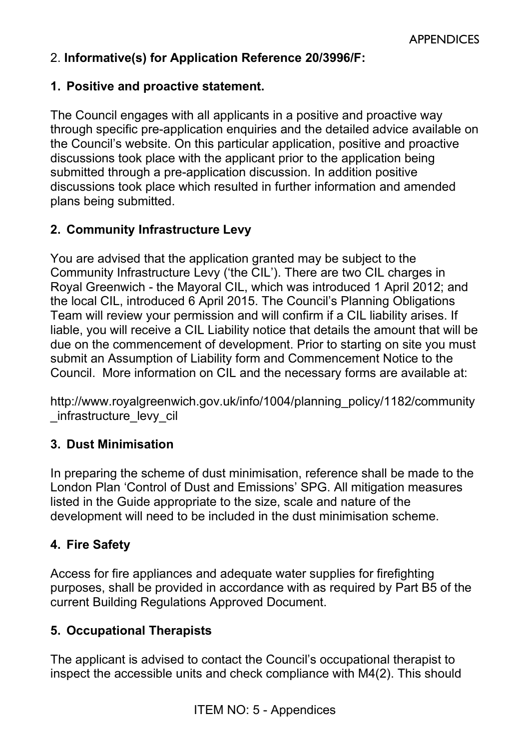## 2. **Informative(s) for Application Reference 20/3996/F:**

#### **1. Positive and proactive statement.**

The Council engages with all applicants in a positive and proactive way through specific pre-application enquiries and the detailed advice available on the Council's website. On this particular application, positive and proactive discussions took place with the applicant prior to the application being submitted through a pre-application discussion. In addition positive discussions took place which resulted in further information and amended plans being submitted.

## **2. Community Infrastructure Levy**

You are advised that the application granted may be subject to the Community Infrastructure Levy ('the CIL'). There are two CIL charges in Royal Greenwich - the Mayoral CIL, which was introduced 1 April 2012; and the local CIL, introduced 6 April 2015. The Council's Planning Obligations Team will review your permission and will confirm if a CIL liability arises. If liable, you will receive a CIL Liability notice that details the amount that will be due on the commencement of development. Prior to starting on site you must submit an Assumption of Liability form and Commencement Notice to the Council. More information on CIL and the necessary forms are available at:

[http://www.royalgreenwich.gov.uk/info/1004/planning\\_policy/1182/community](http://www.royalgreenwich.gov.uk/info/1004/planning_policy/1182/community_infrastructure_levy_cil) [\\_infrastructure\\_levy\\_cil](http://www.royalgreenwich.gov.uk/info/1004/planning_policy/1182/community_infrastructure_levy_cil) 

### **3. Dust Minimisation**

In preparing the scheme of dust minimisation, reference shall be made to the London Plan '[Control of Dust and Emissions](https://www.london.gov.uk/what-we-do/planning/implementing-london-plan/supplementary-planning-guidance/control-dust-and)' SPG. All mitigation measures listed in the Guide appropriate to the size, scale and nature of the development will need to be included in the dust minimisation scheme.

### **4. Fire Safety**

Access for fire appliances and adequate water supplies for firefighting purposes, shall be provided in accordance with as required by Part B5 of the current Building Regulations Approved Document.

#### **5. Occupational Therapists**

The applicant is advised to contact the Council's occupational therapist to inspect the accessible units and check compliance with M4(2). This should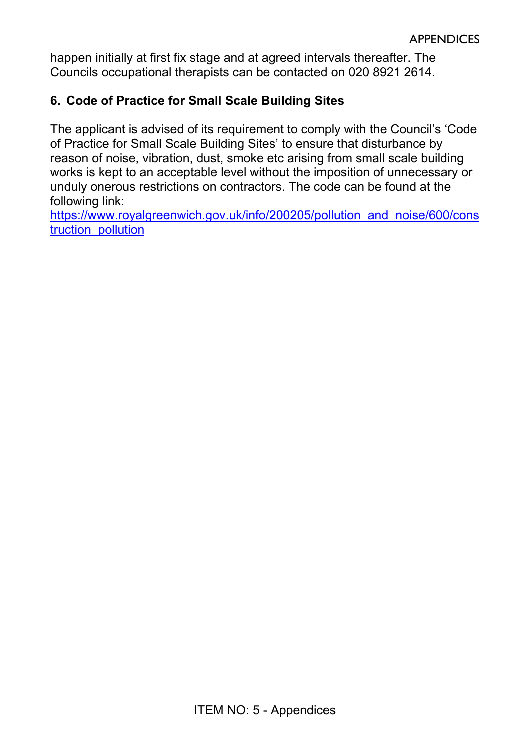happen initially at first fix stage and at agreed intervals thereafter. The Councils occupational therapists can be contacted on 020 8921 2614.

## **6. Code of Practice for Small Scale Building Sites**

The applicant is advised of its requirement to comply with the Council's 'Code of Practice for Small Scale Building Sites' to ensure that disturbance by reason of noise, vibration, dust, smoke etc arising from small scale building works is kept to an acceptable level without the imposition of unnecessary or unduly onerous restrictions on contractors. The code can be found at the following link:

[https://www.royalgreenwich.gov.uk/info/200205/pollution\\_and\\_noise/600/cons](https://www.royalgreenwich.gov.uk/info/200205/pollution_and_noise/600/construction_pollution) [truction\\_pollution](https://www.royalgreenwich.gov.uk/info/200205/pollution_and_noise/600/construction_pollution)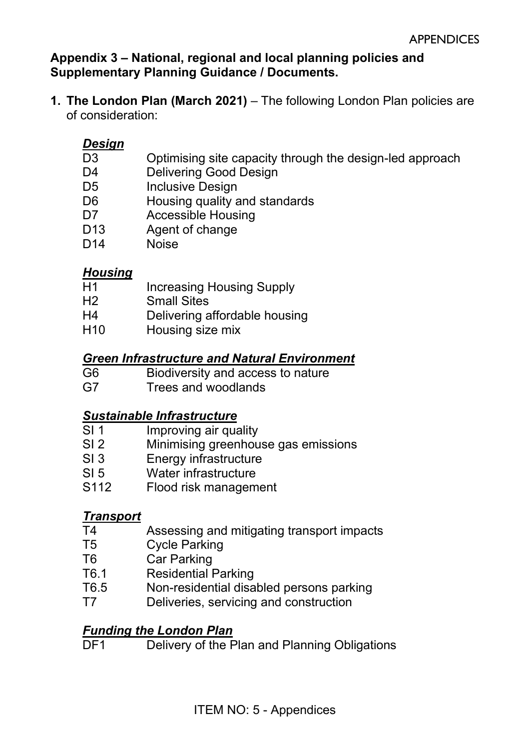**Appendix 3 – National, regional and local planning policies and Supplementary Planning Guidance / Documents.** 

**1. The London Plan (March 2021)** – The following London Plan policies are of consideration:

### *Design*

- D3 Optimising site capacity through the design-led approach
- D4 Delivering Good Design
- D5 Inclusive Design
- D6 Housing quality and standards
- D7 Accessible Housing
- D13 Agent of change
- D14 Noise

### *Housing*

- H1 Increasing Housing Supply
- H2 Small Sites
- H4 Delivering affordable housing
- H<sub>10</sub> Housing size mix

### *Green Infrastructure and Natural Environment*

- G6 Biodiversity and access to nature
- G7 Trees and woodlands

### *Sustainable Infrastructure*

- SI 1 Improving air quality
- SI 2 Minimising greenhouse gas emissions
- SI 3 Energy infrastructure
- SI 5 Water infrastructure
- S112 Flood risk management

### *Transport*

- T4 Assessing and mitigating transport impacts
- T5 Cycle Parking
- T6 Car Parking
- T6.1 Residential Parking
- T6.5 Non-residential disabled persons parking
- T7 Deliveries, servicing and construction

#### *Funding the London Plan*

DF1 Delivery of the Plan and Planning Obligations